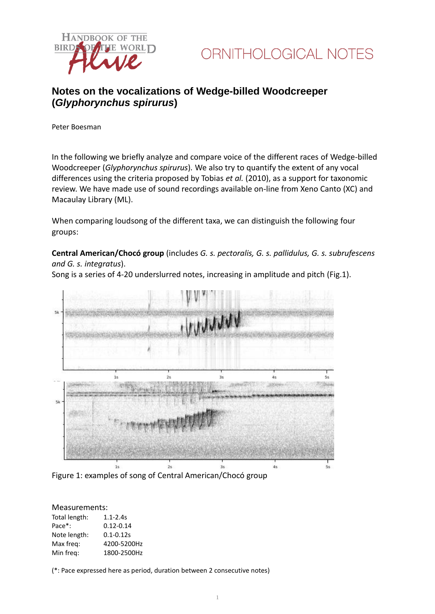



## **Notes on the vocalizations of Wedge-billed Woodcreeper (***Glyphorynchus spirurus***)**

Peter Boesman

In the following we briefly analyze and compare voice of the different races of Wedge-billed Woodcreeper (*Glyphorynchus spirurus*)*.* We also try to quantify the extent of any vocal differences using the criteria proposed by Tobias *et al.* (2010), as a support for taxonomic review. We have made use of sound recordings available on-line from Xeno Canto (XC) and Macaulay Library (ML).

When comparing loudsong of the different taxa, we can distinguish the following four groups:

**Central American/Chocó group** (includes *G. s. pectoralis, G. s. pallidulus, G. s. subrufescens and G. s. integratus*).



Song is a series of 4-20 underslurred notes, increasing in amplitude and pitch (Fig.1).

Figure 1: examples of song of Central American/Chocó group

#### Measurements:

| Total length: | $1.1 - 2.4s$  |
|---------------|---------------|
| Pace*:        | $0.12 - 0.14$ |
| Note length:  | $0.1 - 0.12s$ |
| Max freg:     | 4200-5200Hz   |
| Min freq:     | 1800-2500Hz   |

(\*: Pace expressed here as period, duration between 2 consecutive notes)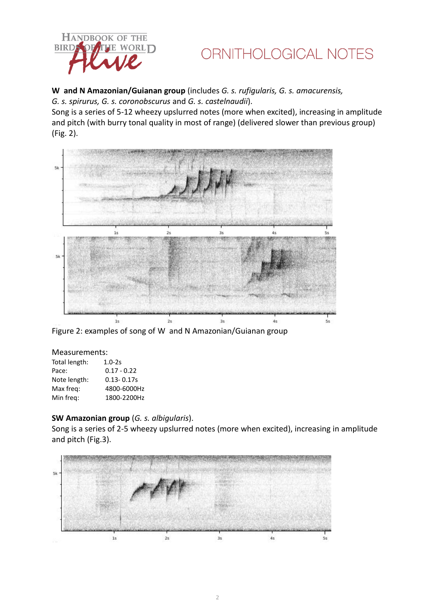

## ORNITHOLOGICAL NOTES

## **W and N Amazonian/Guianan group** (includes *G. s. rufigularis, G. s. amacurensis,*

*G. s. spirurus, G. s. coronobscurus* and *G. s. castelnaudii*).

Song is a series of 5-12 wheezy upslurred notes (more when excited), increasing in amplitude and pitch (with burry tonal quality in most of range) (delivered slower than previous group) (Fig. 2).



Figure 2: examples of song of W and N Amazonian/Guianan group

### Measurements:

| $1.0 - 2s$     |
|----------------|
| $0.17 - 0.22$  |
| $0.13 - 0.17s$ |
| 4800-6000Hz    |
| 1800-2200Hz    |
|                |

### **SW Amazonian group** (*G. s. albigularis*).

Song is a series of 2-5 wheezy upslurred notes (more when excited), increasing in amplitude and pitch (Fig.3).

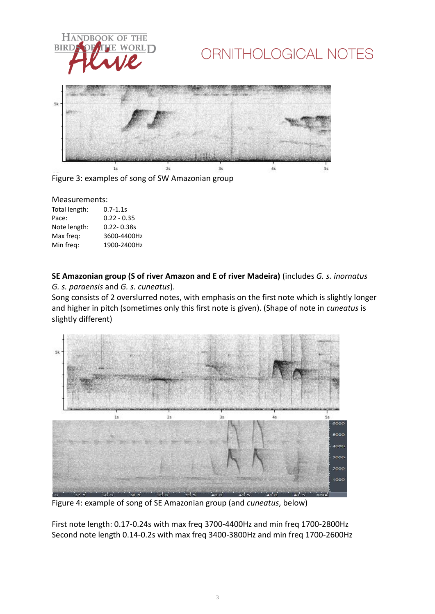

# ORNITHOLOGICAL NOTES



Figure 3: examples of song of SW Amazonian group

#### Measurements:

| Total length: | $0.7 - 1.1s$   |
|---------------|----------------|
| Pace:         | $0.22 - 0.35$  |
| Note length:  | $0.22 - 0.38s$ |
| Max freq:     | 3600-4400Hz    |
| Min freq:     | 1900-2400Hz    |

**SE Amazonian group (S of river Amazon and E of river Madeira)** (includes *G. s. inornatus G. s. paraensis* and *G. s. cuneatus*).

Song consists of 2 overslurred notes, with emphasis on the first note which is slightly longer and higher in pitch (sometimes only this first note is given). (Shape of note in *cuneatus* is slightly different)



Figure 4: example of song of SE Amazonian group (and *cuneatus*, below)

First note length: 0.17-0.24s with max freq 3700-4400Hz and min freq 1700-2800Hz Second note length 0.14-0.2s with max freq 3400-3800Hz and min freq 1700-2600Hz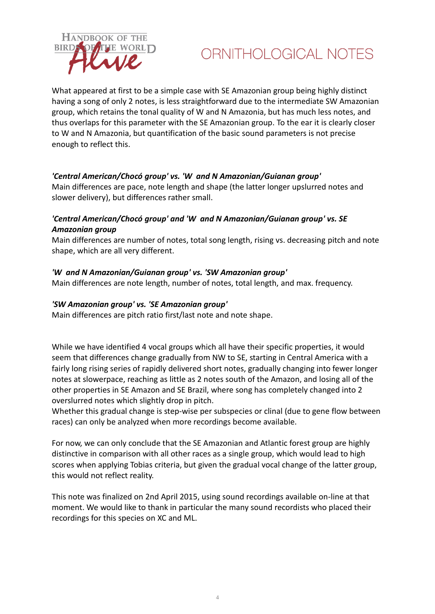

## ORNITHOLOGICAL NOTES

What appeared at first to be a simple case with SE Amazonian group being highly distinct having a song of only 2 notes, is less straightforward due to the intermediate SW Amazonian group, which retains the tonal quality of W and N Amazonia, but has much less notes, and thus overlaps for this parameter with the SE Amazonian group. To the ear it is clearly closer to W and N Amazonia, but quantification of the basic sound parameters is not precise enough to reflect this.

### *'Central American/Chocó group' vs. 'W and N Amazonian/Guianan group'*

Main differences are pace, note length and shape (the latter longer upslurred notes and slower delivery), but differences rather small.

## *'Central American/Chocó group' and 'W and N Amazonian/Guianan group' vs. SE Amazonian group*

Main differences are number of notes, total song length, rising vs. decreasing pitch and note shape, which are all very different.

### *'W and N Amazonian/Guianan group' vs. 'SW Amazonian group'*

Main differences are note length, number of notes, total length, and max. frequency.

### *'SW Amazonian group' vs. 'SE Amazonian group'*

Main differences are pitch ratio first/last note and note shape.

While we have identified 4 vocal groups which all have their specific properties, it would seem that differences change gradually from NW to SE, starting in Central America with a fairly long rising series of rapidly delivered short notes, gradually changing into fewer longer notes at slowerpace, reaching as little as 2 notes south of the Amazon, and losing all of the other properties in SE Amazon and SE Brazil, where song has completely changed into 2 overslurred notes which slightly drop in pitch.

Whether this gradual change is step-wise per subspecies or clinal (due to gene flow between races) can only be analyzed when more recordings become available.

For now, we can only conclude that the SE Amazonian and Atlantic forest group are highly distinctive in comparison with all other races as a single group, which would lead to high scores when applying Tobias criteria, but given the gradual vocal change of the latter group, this would not reflect reality.

This note was finalized on 2nd April 2015, using sound recordings available on-line at that moment. We would like to thank in particular the many sound recordists who placed their recordings for this species on XC and ML.